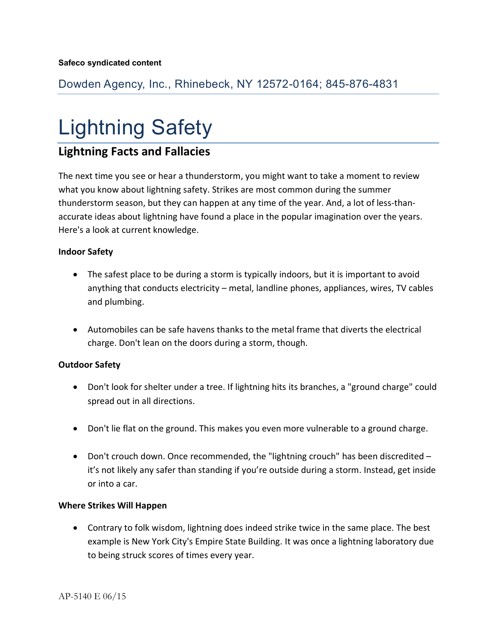Dowden Agency, Inc., Rhinebeck, NY 12572-0164; 845-876-4831

# Lightning Safety

# **Lightning Facts and Fallacies**

The next time you see or hear a thunderstorm, you might want to take a moment to review what you know about lightning safety. Strikes are most common during the summer thunderstorm season, but they can happen at any time of the year. And, a lot of less-thanaccurate ideas about lightning have found a place in the popular imagination over the years. Here's a look at current knowledge.

## **Indoor Safety**

- The safest place to be during a storm is typically indoors, but it is important to avoid anything that conducts electricity – metal, landline phones, appliances, wires, TV cables and plumbing.
- Automobiles can be safe havens thanks to the metal frame that diverts the electrical charge. Don't lean on the doors during a storm, though.

### **Outdoor Safety**

- Don't look for shelter under a tree. If lightning hits its branches, a "ground charge" could spread out in all directions.
- Don't lie flat on the ground. This makes you even more vulnerable to a ground charge.
- Don't crouch down. Once recommended, the "lightning crouch" has been discredited it's not likely any safer than standing if you're outside during a storm. Instead, get inside or into a car.

### **Where Strikes Will Happen**

 Contrary to folk wisdom, lightning does indeed strike twice in the same place. The best example is New York City's Empire State Building. It was once a lightning laboratory due to being struck scores of times every year.